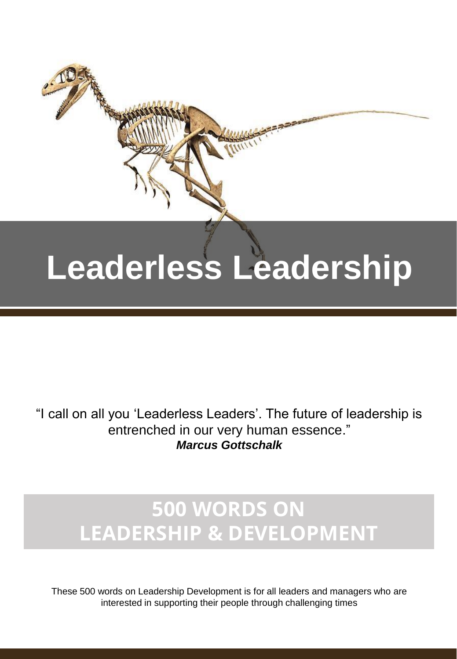# **Leaderless Leadership**

"I call on all you 'Leaderless Leaders'. The future of leadership is entrenched in our very human essence." *Marcus Gottschalk*

## **500 WORDS ON LEADERSHIP & DEVELOPMENT**

These 500 words on Leadership Development is for all leaders and managers who are interested in supporting their people through challenging times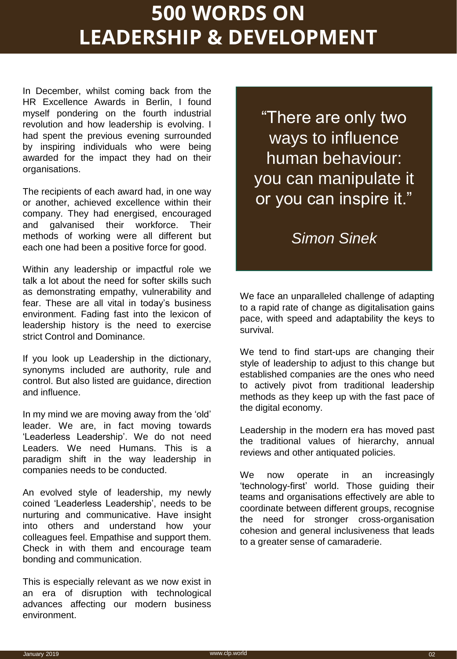### **500 WORDS ON LEADERSHIP & DEVELOPMENT**

In December, whilst coming back from the HR Excellence Awards in Berlin, I found myself pondering on the fourth industrial revolution and how leadership is evolving. I had spent the previous evening surrounded by inspiring individuals who were being awarded for the impact they had on their organisations.

The recipients of each award had, in one way or another, achieved excellence within their company. They had energised, encouraged and galvanised their workforce. Their methods of working were all different but each one had been a positive force for good.

Within any leadership or impactful role we talk a lot about the need for softer skills such as demonstrating empathy, vulnerability and fear. These are all vital in today's business environment. Fading fast into the lexicon of leadership history is the need to exercise strict Control and Dominance.

If you look up Leadership in the dictionary, synonyms included are authority, rule and control. But also listed are guidance, direction and influence.

In my mind we are moving away from the 'old' leader. We are, in fact moving towards 'Leaderless Leadership'. We do not need Leaders. We need Humans. This is a paradigm shift in the way leadership in companies needs to be conducted.

An evolved style of leadership, my newly coined 'Leaderless Leadership', needs to be nurturing and communicative. Have insight into others and understand how your colleagues feel. Empathise and support them. Check in with them and encourage team bonding and communication.

This is especially relevant as we now exist in an era of disruption with technological advances affecting our modern business environment.

"There are only two ways to influence human behaviour: you can manipulate it or you can inspire it."

#### *Simon Sinek*

We face an unparalleled challenge of adapting to a rapid rate of change as digitalisation gains pace, with speed and adaptability the keys to survival.

We tend to find start-ups are changing their style of leadership to adjust to this change but established companies are the ones who need to actively pivot from traditional leadership methods as they keep up with the fast pace of the digital economy.

Leadership in the modern era has moved past the traditional values of hierarchy, annual reviews and other antiquated policies.

We now operate in an increasingly 'technology-first' world. Those guiding their teams and organisations effectively are able to coordinate between different groups, recognise the need for stronger cross-organisation cohesion and general inclusiveness that leads to a greater sense of camaraderie.